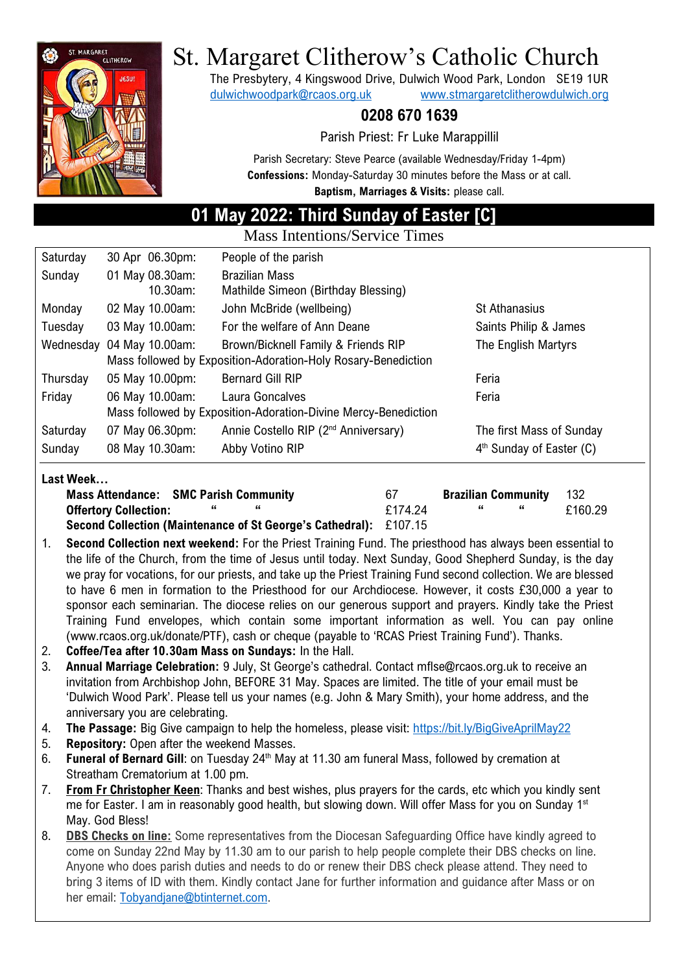

# St. Margaret Clitherow's Catholic Church

The Presbytery, 4 Kingswood Drive, Dulwich Wood Park, London SE19 1UR [dulwichwoodpark@rcaos.org.uk](mailto:dulwichwoodpark@rcaos.org.uk) [www.stmargaretclitherowdulwich.org](http://www.stmargaretclitherowdulwich.org/)

### **0208 670 1639**

Parish Priest: Fr Luke Marappillil

Parish Secretary: Steve Pearce (available Wednesday/Friday 1-4pm) **Confessions:** Monday-Saturday 30 minutes before the Mass or at call. **Baptism, Marriages & Visits:** please call.

## **01 May 2022: Third Sunday of Easter [C]**

Mass Intentions/Service Times

| Saturday  | 30 Apr 06.30pm:                                                | People of the parish                             |                                      |  |  |
|-----------|----------------------------------------------------------------|--------------------------------------------------|--------------------------------------|--|--|
| Sunday    | 01 May 08.30am:                                                | <b>Brazilian Mass</b>                            |                                      |  |  |
|           | 10.30am:                                                       | Mathilde Simeon (Birthday Blessing)              |                                      |  |  |
| Monday    | 02 May 10.00am:                                                | John McBride (wellbeing)                         | <b>St Athanasius</b>                 |  |  |
| Tuesday   | 03 May 10.00am:                                                | For the welfare of Ann Deane                     | Saints Philip & James                |  |  |
| Wednesday | 04 May 10.00am:                                                | Brown/Bicknell Family & Friends RIP              | The English Martyrs                  |  |  |
|           | Mass followed by Exposition-Adoration-Holy Rosary-Benediction  |                                                  |                                      |  |  |
| Thursday  | 05 May 10.00pm:                                                | <b>Bernard Gill RIP</b>                          | Feria                                |  |  |
| Friday    | 06 May 10.00am:                                                | Laura Goncalves                                  | Feria                                |  |  |
|           | Mass followed by Exposition-Adoration-Divine Mercy-Benediction |                                                  |                                      |  |  |
| Saturday  | 07 May 06.30pm:                                                | Annie Costello RIP (2 <sup>nd</sup> Anniversary) | The first Mass of Sunday             |  |  |
| Sunday    | 08 May 10.30am:                                                | Abby Votino RIP                                  | 4 <sup>th</sup> Sunday of Easter (C) |  |  |

#### **Last Week…**

| <b>Mass Attendance: SMC Parish Community</b>                             | 67      | <b>Brazilian Community</b> | - 132   |
|--------------------------------------------------------------------------|---------|----------------------------|---------|
| <b>Offertory Collection:</b>                                             | £174.24 |                            | £160.29 |
| <b>Second Collection (Maintenance of St George's Cathedral):</b> £107.15 |         |                            |         |

Training Fund envelopes, which contain some important information as well. You can pay online

- **(Maintenance of St George's Cathedral):** 1. **Second Collection next weekend:** For the Priest Training Fund. The priesthood has always been essential to the life of the Church, from the time of Jesus until today. Next Sunday, Good Shepherd Sunday, is the day we pray for vocations, for our priests, and take up the Priest Training Fund second collection. We are blessed to have 6 men in formation to the Priesthood for our Archdiocese. However, it costs £30,000 a year to sponsor each seminarian. The diocese relies on our generous support and prayers. Kindly take the Priest
- (www.rcaos.org.uk/donate/PTF), cash or cheque (payable to 'RCAS Priest Training Fund'). Thanks. 2. **Coffee/Tea after 10.30am Mass on Sundays:** In the Hall.
- 3. **Annual Marriage Celebration:** 9 July, St George's cathedral. Contact mflse@rcaos.org.uk to receive an invitation from Archbishop John, BEFORE 31 May. Spaces are limited. The title of your email must be 'Dulwich Wood Park'. Please tell us your names (e.g. John & Mary Smith), your home address, and the anniversary you are celebrating.
- 4. **The Passage:** Big Give campaign to help the homeless, please visit:<https://bit.ly/BigGiveAprilMay22>
- 5. **Repository:** Open after the weekend Masses.
- 6. **Funeral of Bernard Gill**: on Tuesday 24<sup>th</sup> May at 11.30 am funeral Mass, followed by cremation at Streatham Crematorium at 1.00 pm.
- 7. **From Fr Christopher Keen**: Thanks and best wishes, plus prayers for the cards, etc which you kindly sent me for Easter. I am in reasonably good health, but slowing down. Will offer Mass for you on Sunday 1<sup>st</sup> May. God Bless!
- 8. **DBS Checks on line:** Some representatives from the Diocesan Safeguarding Office have kindly agreed to come on Sunday 22nd May by 11.30 am to our parish to help people complete their DBS checks on line. Anyone who does parish duties and needs to do or renew their DBS check please attend. They need to bring 3 items of ID with them. Kindly contact Jane for further information and guidance after Mass or on her email: [Tobyandjane@btinternet.com.](mailto:Tobyandjane@btinternet.com)